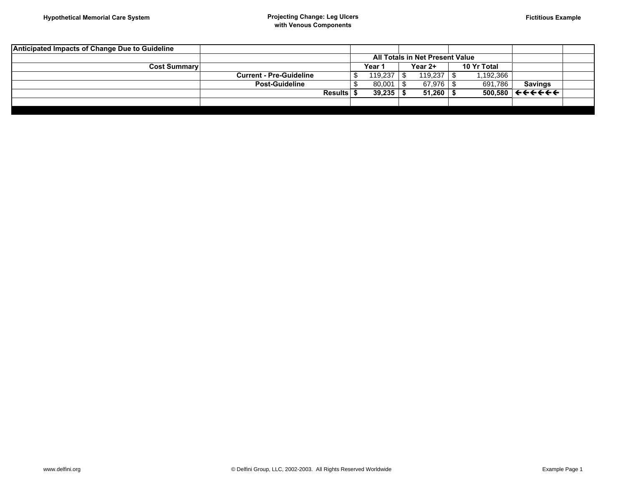|                                | All Totals in Net Present Value |  |         |  |             |                |                                                                         |
|--------------------------------|---------------------------------|--|---------|--|-------------|----------------|-------------------------------------------------------------------------|
| <b>Cost Summary</b>            | Year                            |  | Year 2+ |  | 10 Yr Total |                |                                                                         |
| <b>Current - Pre-Guideline</b> | 119.237                         |  | 119,237 |  | .192,366    |                |                                                                         |
| Post-Guideline                 | 80.001                          |  | 67,976  |  | 691,786     | <b>Savings</b> |                                                                         |
|                                | 39.235                          |  | 51,260  |  | 500.580     |                |                                                                         |
|                                |                                 |  |         |  |             |                |                                                                         |
|                                | <b>Results</b>                  |  |         |  |             |                | $\leftrightarrow$ $\leftrightarrow$ $\leftrightarrow$ $\leftrightarrow$ |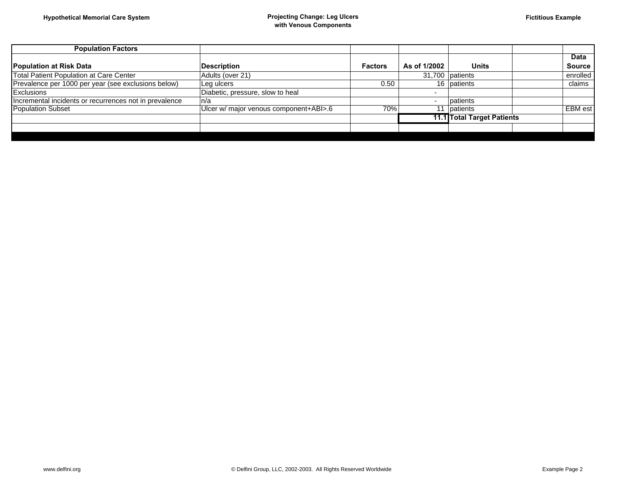| <b>Population Factors</b>                              |                                        |                |              |                                   |               |
|--------------------------------------------------------|----------------------------------------|----------------|--------------|-----------------------------------|---------------|
|                                                        |                                        |                |              |                                   | <b>Data</b>   |
| Population at Risk Data                                | <b>Description</b>                     | <b>Factors</b> | As of 1/2002 | Units                             | <b>Source</b> |
| Total Patient Population at Care Center                | Adults (over 21)                       |                |              | 31,700 patients                   | enrolled      |
| Prevalence per 1000 per year (see exclusions below)    | Leg ulcers                             | 0.50           |              | 16   patients                     | claims        |
| Exclusions                                             | Diabetic, pressure, slow to heal       |                |              |                                   |               |
| Incremental incidents or recurrences not in prevalence | ∣n/a                                   |                |              | patients                          |               |
| <b>Population Subset</b>                               | Ulcer w/ major venous component+ABI>.6 | 70%            |              | <b>Datients</b>                   | EBM est       |
|                                                        |                                        |                |              | <b>11.1 Total Target Patients</b> |               |
|                                                        |                                        |                |              |                                   |               |
|                                                        |                                        |                |              |                                   |               |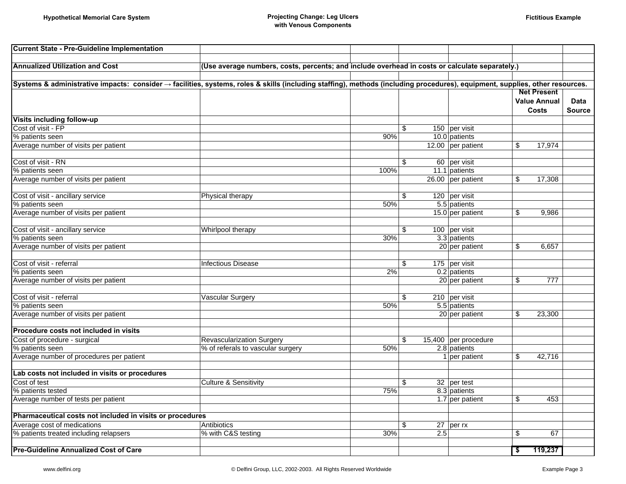| <b>Current State - Pre-Guideline Implementation</b>                                                                                                                          |                                                                                                |                          |                      |                          |                     |               |
|------------------------------------------------------------------------------------------------------------------------------------------------------------------------------|------------------------------------------------------------------------------------------------|--------------------------|----------------------|--------------------------|---------------------|---------------|
|                                                                                                                                                                              |                                                                                                |                          |                      |                          |                     |               |
| <b>Annualized Utilization and Cost</b>                                                                                                                                       | (Use average numbers, costs, percents; and include overhead in costs or calculate separately.) |                          |                      |                          |                     |               |
|                                                                                                                                                                              |                                                                                                |                          |                      |                          |                     |               |
| Systems & administrative impacts: consider → facilities, systems, roles & skills (including staffing), methods (including procedures), equipment, supplies, other resources. |                                                                                                |                          |                      |                          |                     |               |
|                                                                                                                                                                              |                                                                                                |                          |                      |                          | <b>Net Present</b>  |               |
|                                                                                                                                                                              |                                                                                                |                          |                      |                          | <b>Value Annual</b> | <b>Data</b>   |
|                                                                                                                                                                              |                                                                                                |                          |                      |                          | <b>Costs</b>        | <b>Source</b> |
| Visits including follow-up                                                                                                                                                   |                                                                                                |                          |                      |                          |                     |               |
| Cost of visit - FP                                                                                                                                                           |                                                                                                | \$                       | 150 per visit        |                          |                     |               |
| % patients seen                                                                                                                                                              |                                                                                                | 90%                      | 10.0 patients        |                          |                     |               |
| Average number of visits per patient                                                                                                                                         |                                                                                                |                          | 12.00 per patient    | \$                       | 17,974              |               |
| Cost of visit - RN                                                                                                                                                           |                                                                                                | \$                       | 60 per visit         |                          |                     |               |
| % patients seen                                                                                                                                                              |                                                                                                | 100%                     | 11.1 patients        |                          |                     |               |
| Average number of visits per patient                                                                                                                                         |                                                                                                |                          | 26.00 per patient    | \$                       | 17,308              |               |
|                                                                                                                                                                              |                                                                                                |                          |                      |                          |                     |               |
| Cost of visit - ancillary service                                                                                                                                            | Physical therapy                                                                               | \$                       | 120 per visit        |                          |                     |               |
| % patients seen                                                                                                                                                              |                                                                                                | 50%                      | 5.5 patients         |                          |                     |               |
| Average number of visits per patient                                                                                                                                         |                                                                                                |                          | 15.0 per patient     | \$                       | 9,986               |               |
|                                                                                                                                                                              |                                                                                                |                          |                      |                          |                     |               |
| Cost of visit - ancillary service                                                                                                                                            | Whirlpool therapy                                                                              | \$                       | 100 per visit        |                          |                     |               |
| % patients seen                                                                                                                                                              |                                                                                                | 30%                      | 3.3 patients         |                          |                     |               |
| Average number of visits per patient                                                                                                                                         |                                                                                                |                          | 20 per patient       | $\overline{\mathcal{S}}$ | 6,657               |               |
|                                                                                                                                                                              |                                                                                                |                          |                      |                          |                     |               |
| Cost of visit - referral                                                                                                                                                     | <b>Infectious Disease</b>                                                                      | \$                       | 175 per visit        |                          |                     |               |
| % patients seen                                                                                                                                                              |                                                                                                | 2%                       | 0.2 patients         |                          |                     |               |
| Average number of visits per patient                                                                                                                                         |                                                                                                |                          | 20 per patient       | \$                       | 777                 |               |
|                                                                                                                                                                              |                                                                                                |                          |                      |                          |                     |               |
| Cost of visit - referral                                                                                                                                                     | <b>Vascular Surgery</b>                                                                        | $\overline{\mathcal{S}}$ | 210 per visit        |                          |                     |               |
| % patients seen                                                                                                                                                              |                                                                                                | 50%                      | 5.5 patients         |                          |                     |               |
| Average number of visits per patient                                                                                                                                         |                                                                                                |                          | 20 per patient       | \$                       | 23,300              |               |
|                                                                                                                                                                              |                                                                                                |                          |                      |                          |                     |               |
| Procedure costs not included in visits                                                                                                                                       |                                                                                                |                          |                      |                          |                     |               |
| Cost of procedure - surgical                                                                                                                                                 | <b>Revascularization Surgery</b>                                                               | \$                       | 15,400 per procedure |                          |                     |               |
| % patients seen                                                                                                                                                              | % of referals to vascular surgery                                                              | 50%                      | 2.8 patients         |                          |                     |               |
| Average number of procedures per patient                                                                                                                                     |                                                                                                |                          | 1 per patient        | \$                       | 42,716              |               |
| Lab costs not included in visits or procedures                                                                                                                               |                                                                                                |                          |                      |                          |                     |               |
| Cost of test                                                                                                                                                                 | <b>Culture &amp; Sensitivity</b>                                                               | \$                       | 32 per test          |                          |                     |               |
| % patients tested                                                                                                                                                            |                                                                                                | 75%                      | 8.3 patients         |                          |                     |               |
| Average number of tests per patient                                                                                                                                          |                                                                                                |                          | 1.7 per patient      | \$                       | 453                 |               |
|                                                                                                                                                                              |                                                                                                |                          |                      |                          |                     |               |
| Pharmaceutical costs not included in visits or procedures                                                                                                                    |                                                                                                |                          |                      |                          |                     |               |
| Average cost of medications                                                                                                                                                  | Antibiotics                                                                                    | \$                       | $27$ per rx          |                          |                     |               |
| % patients treated including relapsers                                                                                                                                       | % with C&S testing                                                                             | 30%                      | 2.5                  | \$                       | 67                  |               |
|                                                                                                                                                                              |                                                                                                |                          |                      |                          |                     |               |
| <b>Pre-Guideline Annualized Cost of Care</b>                                                                                                                                 |                                                                                                |                          |                      | \$                       | 119,237             |               |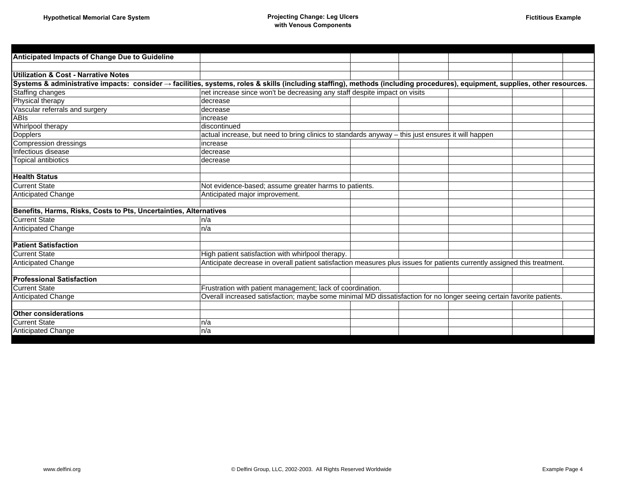| Anticipated Impacts of Change Due to Guideline                                                                                                                               |                                                                                                                          |  |  |
|------------------------------------------------------------------------------------------------------------------------------------------------------------------------------|--------------------------------------------------------------------------------------------------------------------------|--|--|
|                                                                                                                                                                              |                                                                                                                          |  |  |
| <b>Utilization &amp; Cost - Narrative Notes</b>                                                                                                                              |                                                                                                                          |  |  |
| Systems & administrative impacts: consider → facilities, systems, roles & skills (including staffing), methods (including procedures), equipment, supplies, other resources. |                                                                                                                          |  |  |
| Staffing changes                                                                                                                                                             | net increase since won't be decreasing any staff despite impact on visits                                                |  |  |
| Physical therapy                                                                                                                                                             | decrease                                                                                                                 |  |  |
| Vascular referrals and surgery                                                                                                                                               | decrease                                                                                                                 |  |  |
| <b>ABIs</b>                                                                                                                                                                  | increase                                                                                                                 |  |  |
| Whirlpool therapy                                                                                                                                                            | discontinued                                                                                                             |  |  |
| <b>Dopplers</b>                                                                                                                                                              | actual increase, but need to bring clinics to standards anyway - this just ensures it will happen                        |  |  |
| Compression dressings                                                                                                                                                        | increase                                                                                                                 |  |  |
| Infectious disease                                                                                                                                                           | decrease                                                                                                                 |  |  |
| <b>Topical antibiotics</b>                                                                                                                                                   | decrease                                                                                                                 |  |  |
|                                                                                                                                                                              |                                                                                                                          |  |  |
| <b>Health Status</b>                                                                                                                                                         |                                                                                                                          |  |  |
| <b>Current State</b>                                                                                                                                                         | Not evidence-based; assume greater harms to patients.                                                                    |  |  |
| <b>Anticipated Change</b>                                                                                                                                                    | Anticipated major improvement.                                                                                           |  |  |
|                                                                                                                                                                              |                                                                                                                          |  |  |
| Benefits, Harms, Risks, Costs to Pts, Uncertainties, Alternatives                                                                                                            |                                                                                                                          |  |  |
| <b>Current State</b>                                                                                                                                                         | n/a                                                                                                                      |  |  |
| <b>Anticipated Change</b>                                                                                                                                                    | n/a                                                                                                                      |  |  |
|                                                                                                                                                                              |                                                                                                                          |  |  |
| <b>Patient Satisfaction</b>                                                                                                                                                  |                                                                                                                          |  |  |
| <b>Current State</b>                                                                                                                                                         | High patient satisfaction with whirlpool therapy.                                                                        |  |  |
| Anticipated Change                                                                                                                                                           | Anticipate decrease in overall patient satisfaction measures plus issues for patients currently assigned this treatment. |  |  |
|                                                                                                                                                                              |                                                                                                                          |  |  |
| <b>Professional Satisfaction</b>                                                                                                                                             |                                                                                                                          |  |  |
| <b>Current State</b>                                                                                                                                                         | Frustration with patient management; lack of coordination.                                                               |  |  |
| <b>Anticipated Change</b>                                                                                                                                                    | Overall increased satisfaction; maybe some minimal MD dissatisfaction for no longer seeing certain favorite patients.    |  |  |
|                                                                                                                                                                              |                                                                                                                          |  |  |
| <b>Other considerations</b>                                                                                                                                                  |                                                                                                                          |  |  |
| <b>Current State</b>                                                                                                                                                         | n/a                                                                                                                      |  |  |
| Anticipated Change                                                                                                                                                           | n/a                                                                                                                      |  |  |
|                                                                                                                                                                              |                                                                                                                          |  |  |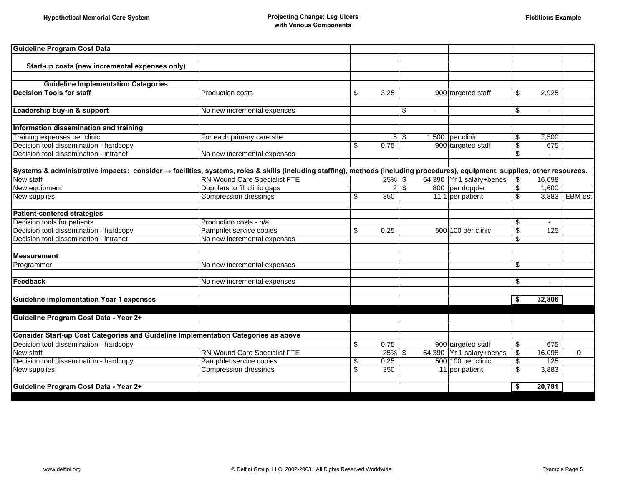| No new incremental expenses                                                               |                                                                                                                                                                                                                                                                                                                                                                                |                                  | \$                                          | ÷.                                                                       | \$                                                                                                                                                                                                                                                | $\sim$                                                                                                                                                              |                                                                                                                                                                                                                                                                  |
|-------------------------------------------------------------------------------------------|--------------------------------------------------------------------------------------------------------------------------------------------------------------------------------------------------------------------------------------------------------------------------------------------------------------------------------------------------------------------------------|----------------------------------|---------------------------------------------|--------------------------------------------------------------------------|---------------------------------------------------------------------------------------------------------------------------------------------------------------------------------------------------------------------------------------------------|---------------------------------------------------------------------------------------------------------------------------------------------------------------------|------------------------------------------------------------------------------------------------------------------------------------------------------------------------------------------------------------------------------------------------------------------|
|                                                                                           |                                                                                                                                                                                                                                                                                                                                                                                |                                  |                                             |                                                                          |                                                                                                                                                                                                                                                   |                                                                                                                                                                     |                                                                                                                                                                                                                                                                  |
|                                                                                           |                                                                                                                                                                                                                                                                                                                                                                                |                                  |                                             |                                                                          |                                                                                                                                                                                                                                                   |                                                                                                                                                                     |                                                                                                                                                                                                                                                                  |
|                                                                                           |                                                                                                                                                                                                                                                                                                                                                                                |                                  |                                             |                                                                          |                                                                                                                                                                                                                                                   |                                                                                                                                                                     |                                                                                                                                                                                                                                                                  |
| No new incremental expenses                                                               |                                                                                                                                                                                                                                                                                                                                                                                |                                  |                                             |                                                                          | \$                                                                                                                                                                                                                                                |                                                                                                                                                                     |                                                                                                                                                                                                                                                                  |
|                                                                                           |                                                                                                                                                                                                                                                                                                                                                                                |                                  |                                             |                                                                          |                                                                                                                                                                                                                                                   |                                                                                                                                                                     |                                                                                                                                                                                                                                                                  |
|                                                                                           |                                                                                                                                                                                                                                                                                                                                                                                |                                  |                                             |                                                                          |                                                                                                                                                                                                                                                   |                                                                                                                                                                     |                                                                                                                                                                                                                                                                  |
|                                                                                           |                                                                                                                                                                                                                                                                                                                                                                                |                                  |                                             |                                                                          |                                                                                                                                                                                                                                                   |                                                                                                                                                                     |                                                                                                                                                                                                                                                                  |
| Compression dressings                                                                     | \$                                                                                                                                                                                                                                                                                                                                                                             | 350                              |                                             |                                                                          | $\overline{\mathcal{S}}$                                                                                                                                                                                                                          |                                                                                                                                                                     | 3,883 EBM est                                                                                                                                                                                                                                                    |
|                                                                                           |                                                                                                                                                                                                                                                                                                                                                                                |                                  |                                             |                                                                          |                                                                                                                                                                                                                                                   |                                                                                                                                                                     |                                                                                                                                                                                                                                                                  |
|                                                                                           |                                                                                                                                                                                                                                                                                                                                                                                |                                  |                                             |                                                                          |                                                                                                                                                                                                                                                   |                                                                                                                                                                     |                                                                                                                                                                                                                                                                  |
|                                                                                           |                                                                                                                                                                                                                                                                                                                                                                                |                                  |                                             |                                                                          |                                                                                                                                                                                                                                                   |                                                                                                                                                                     |                                                                                                                                                                                                                                                                  |
|                                                                                           |                                                                                                                                                                                                                                                                                                                                                                                |                                  |                                             |                                                                          |                                                                                                                                                                                                                                                   |                                                                                                                                                                     |                                                                                                                                                                                                                                                                  |
|                                                                                           |                                                                                                                                                                                                                                                                                                                                                                                |                                  |                                             |                                                                          |                                                                                                                                                                                                                                                   |                                                                                                                                                                     |                                                                                                                                                                                                                                                                  |
|                                                                                           |                                                                                                                                                                                                                                                                                                                                                                                |                                  |                                             |                                                                          |                                                                                                                                                                                                                                                   |                                                                                                                                                                     |                                                                                                                                                                                                                                                                  |
| No new incremental expenses                                                               |                                                                                                                                                                                                                                                                                                                                                                                |                                  |                                             |                                                                          | \$                                                                                                                                                                                                                                                | $\blacksquare$                                                                                                                                                      |                                                                                                                                                                                                                                                                  |
|                                                                                           |                                                                                                                                                                                                                                                                                                                                                                                |                                  |                                             |                                                                          |                                                                                                                                                                                                                                                   |                                                                                                                                                                     |                                                                                                                                                                                                                                                                  |
|                                                                                           |                                                                                                                                                                                                                                                                                                                                                                                |                                  |                                             |                                                                          |                                                                                                                                                                                                                                                   |                                                                                                                                                                     |                                                                                                                                                                                                                                                                  |
|                                                                                           |                                                                                                                                                                                                                                                                                                                                                                                |                                  |                                             |                                                                          | -\$                                                                                                                                                                                                                                               | 32,806                                                                                                                                                              |                                                                                                                                                                                                                                                                  |
|                                                                                           |                                                                                                                                                                                                                                                                                                                                                                                |                                  |                                             |                                                                          |                                                                                                                                                                                                                                                   |                                                                                                                                                                     |                                                                                                                                                                                                                                                                  |
|                                                                                           |                                                                                                                                                                                                                                                                                                                                                                                |                                  |                                             |                                                                          |                                                                                                                                                                                                                                                   |                                                                                                                                                                     |                                                                                                                                                                                                                                                                  |
| <b>Consider Start-up Cost Categories and Guideline Implementation Categories as above</b> |                                                                                                                                                                                                                                                                                                                                                                                |                                  |                                             |                                                                          |                                                                                                                                                                                                                                                   |                                                                                                                                                                     |                                                                                                                                                                                                                                                                  |
|                                                                                           |                                                                                                                                                                                                                                                                                                                                                                                |                                  |                                             |                                                                          |                                                                                                                                                                                                                                                   |                                                                                                                                                                     |                                                                                                                                                                                                                                                                  |
|                                                                                           |                                                                                                                                                                                                                                                                                                                                                                                |                                  |                                             |                                                                          |                                                                                                                                                                                                                                                   |                                                                                                                                                                     | $\mathbf 0$                                                                                                                                                                                                                                                      |
|                                                                                           |                                                                                                                                                                                                                                                                                                                                                                                |                                  |                                             |                                                                          |                                                                                                                                                                                                                                                   |                                                                                                                                                                     |                                                                                                                                                                                                                                                                  |
|                                                                                           |                                                                                                                                                                                                                                                                                                                                                                                |                                  |                                             |                                                                          |                                                                                                                                                                                                                                                   |                                                                                                                                                                     |                                                                                                                                                                                                                                                                  |
|                                                                                           |                                                                                                                                                                                                                                                                                                                                                                                |                                  |                                             |                                                                          | -\$                                                                                                                                                                                                                                               | 20,781                                                                                                                                                              |                                                                                                                                                                                                                                                                  |
|                                                                                           | Start-up costs (new incremental expenses only)<br>Production costs<br>For each primary care site<br><b>RN Wound Care Specialist FTE</b><br>Dopplers to fill clinic gaps<br>Production costs - n/a<br>Pamphlet service copies<br>No new incremental expenses<br>No new incremental expenses<br>RN Wound Care Specialist FTE<br>Pamphlet service copies<br>Compression dressings | \$<br>\$<br>\$<br>\$<br>\$<br>\$ | 3.25<br>0.75<br>0.25<br>0.75<br>0.25<br>350 | 5 <sup>1</sup><br>\$<br>25%\$<br>2 <br>$\sqrt[6]{\frac{1}{2}}$<br>25% \$ | 900 targeted staff<br>$1,500$ per clinic<br>900 targeted staff<br>64,390 Yr 1 salary+benes<br>800 per doppler<br>11.1 per patient<br>500 100 per clinic<br>900 targeted staff<br>64,390 Yr 1 salary+benes<br>500 100 per clinic<br>11 per patient | \$<br>\$<br>$\overline{\boldsymbol{\mathsf{s}}}$<br>\$<br>\$<br>\$<br>\$<br>$\overline{\boldsymbol{\mathsf{s}}}$<br>\$<br>\$<br>\$<br>\$<br>$\overline{\mathbf{3}}$ | 2,925<br>7,500<br>675<br>Systems & administrative impacts: consider → facilities, systems, roles & skills (including staffing), methods (including procedures), equipment, supplies, other resources.<br>16,098<br>1,600<br>125<br>675<br>16,098<br>125<br>3,883 |